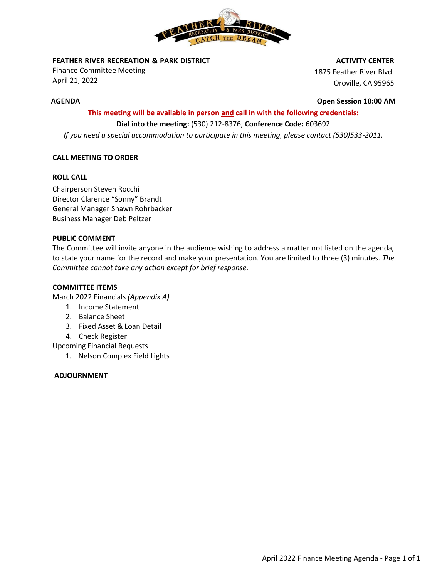

**FEATHER RIVER RECREATION & PARK DISTRICT** 

Finance Committee Meeting April 21, 2022

#### **ACTIVITY CENTER**

1875 Feather River Blvd. Oroville, CA 95965

**AGENDA Open Session 10:00 AM**

## **This meeting will be available in person and call in with the following credentials: Dial into the meeting:** (530) 212-8376; **Conference Code:** 603692

*If you need a special accommodation to participate in this meeting, please contact (530)533-2011.*

### **CALL MEETING TO ORDER**

#### **ROLL CALL**

Chairperson Steven Rocchi Director Clarence "Sonny" Brandt General Manager Shawn Rohrbacker Business Manager Deb Peltzer

#### **PUBLIC COMMENT**

The Committee will invite anyone in the audience wishing to address a matter not listed on the agenda, to state your name for the record and make your presentation. You are limited to three (3) minutes*. The Committee cannot take any action except for brief response.*

#### **COMMITTEE ITEMS**

March 2022 Financials *(Appendix A)*

- 1. Income Statement
- 2. Balance Sheet
- 3. Fixed Asset & Loan Detail
- 4. Check Register
- Upcoming Financial Requests
	- 1. Nelson Complex Field Lights

#### **ADJOURNMENT**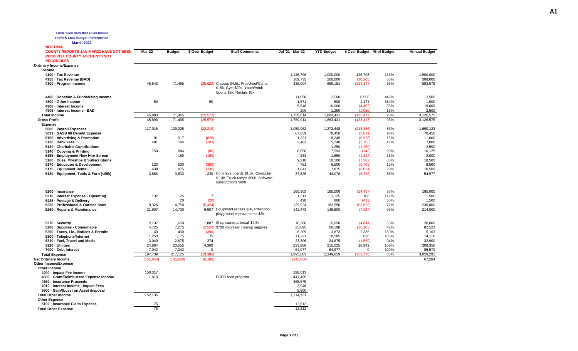| <b>Feather River Recreation &amp; Park District</b><br><b>Profit &amp; Loss Budget Performance</b><br><b>March 2022</b> |               |               |                |                                                                                                       |                    |                   |                            |            |                      |
|-------------------------------------------------------------------------------------------------------------------------|---------------|---------------|----------------|-------------------------------------------------------------------------------------------------------|--------------------|-------------------|----------------------------|------------|----------------------|
| <b>NOT FINAL</b>                                                                                                        |               |               |                |                                                                                                       |                    |                   |                            |            |                      |
| <b>COUNTY REPORTS JAN-MAR22 HAVE NOT BEEN</b><br><b>RECEIVED. COUNTY ACCOUNTS NOT</b><br><b>RECONCILED</b>              | <b>Mar 22</b> | <b>Budget</b> | \$ Over Budget | <b>Staff Comments</b>                                                                                 | Jul '21 - Mar 22   | <b>YTD Budget</b> | \$ Over Budget % of Budget |            | <b>Annual Budget</b> |
| <b>Ordinary Income/Expense</b>                                                                                          |               |               |                |                                                                                                       |                    |                   |                            |            |                      |
| Income                                                                                                                  |               |               |                |                                                                                                       |                    |                   |                            |            |                      |
| 4100 · Tax Revenue                                                                                                      |               |               |                |                                                                                                       | 1,126,798          | 1,000,000         | 126,798                    | 113%       | 1,900,000            |
| 4150 · Tax Revenue (BAD)                                                                                                |               |               |                |                                                                                                       | 169,735            | 200,000           | (30, 265)                  | 85%        | 308,000              |
| 4300 - Program Income                                                                                                   | 45,843        | 71,465        |                | (25,622) Classes \$4.5k, Preschool/Camp<br>\$15k, Gym \$20k, Youth/Adult<br>Sports \$2k, Rentals \$3k | 435,004            | 669,181           | (234, 177)                 | 65%        | 893,575              |
| 4400 - Donation & Fundraising Income                                                                                    |               |               |                |                                                                                                       | 11,058             | 2,500             | 8,558                      | 442%       | 2,500                |
| 4600 - Other Income                                                                                                     | 50            |               | 50             |                                                                                                       | 1,671              | 500               | 1,171                      | 334%       | 1,000                |
| 4900 - Interest Income                                                                                                  |               |               |                |                                                                                                       | 5,548              | 10,000            | (4, 452)                   | 55%        | 19,000               |
| 4905 - Interest Income - BAD                                                                                            |               |               |                |                                                                                                       | 200                | 1,250             | (1.050)                    | 16%        | 2,500                |
| <b>Total Income</b>                                                                                                     | 45,893        | 71,465        | (25, 572)      |                                                                                                       | 1,750,014          | 1,883,431         | (133, 417)                 | 93%        | 3,126,575            |
| <b>Gross Profit</b><br><b>Expense</b>                                                                                   | 45,893        | 71,465        | (25, 572)      |                                                                                                       | 1,750,014          | 1,883,431         | (133, 417)                 | 93%        | 3,126,575            |
| 5000 - Payroll Expenses                                                                                                 | 117,015       | 139,225       | (22, 210)      |                                                                                                       | 1,059,062          | 1,272,448         | (213, 386)                 | 83%        | 1,690,123            |
| 5031 - GASB 68 Benefit Expense                                                                                          |               |               |                |                                                                                                       | 67,639             | 70,450            | (2,811)                    | 96%        | 70,450               |
| 5100 · Advertising & Promotion                                                                                          | 91            | 917           | (826)          |                                                                                                       | 1,321              | 8,249             | (6,928)                    | 16%        | 11,000               |
| 5120 · Bank Fees                                                                                                        | 481           | 584           | (103)          |                                                                                                       | 2.483              | 5.248             | (2,765)                    | 47%        | 7.000                |
| 5130 - Charitable Contributions                                                                                         |               |               |                |                                                                                                       |                    | 1,250             | (1,250)                    |            | 2,500                |
| 5140 Copying & Printing                                                                                                 | 758           | 844           | (86)           |                                                                                                       | 6,850              | 7,593             | (743)                      | 90%        | 10,125               |
| 5155 - Employment New Hire Screen                                                                                       |               | 150           | (150)          |                                                                                                       | 233                | 1,550             | (1, 317)                   | 15%        | 2.000                |
| 5160 - Dues, Mbrshps & Subscriptions                                                                                    |               |               |                |                                                                                                       | 9,218              | 10,500            | (1, 282)                   | 88%        | 10,500               |
| 5170 - Education & Development                                                                                          | 120           | 500<br>875    | (380)          |                                                                                                       | 791                | 6,500             | (5,709)                    | 12%<br>23% | 8,500                |
| 5175 - Equipment Rental                                                                                                 | 639<br>3,863  | 3,633         | (236)          | 230 Corn hole boards \$1.3k, Computer                                                                 | 1,841<br>37,826    | 7,875<br>44,078   | (6,034)                    | 86%        | 10,500<br>54,977     |
| 5180 · Equipment, Tools & Furn (<\$5k)                                                                                  |               |               |                | \$1.3k, Truck ramps \$500. Software<br>subscriptions \$800                                            |                    |                   | (6, 252)                   |            |                      |
| 5200 - Insurance                                                                                                        |               |               |                |                                                                                                       | 160,503            | 185,000           | (24, 497)                  | 87%        | 185,000              |
| 5210 - Interest Expense - Operating                                                                                     | 132           | 125           | $\overline{7}$ |                                                                                                       | 1,311              | 1,125             | 186                        | 117%       | 1,500                |
| 5225 - Postage & Delivery                                                                                               |               | 20            | (20)           |                                                                                                       | 428                | 860               | (432)                      | 50%        | 1,500                |
| 5230 - Professional & Outside Svcs                                                                                      | 9,326         | 14,750        | (5, 424)       |                                                                                                       | 129,924            | 183,550           | (53, 626)                  | 71%        | 230,000              |
| 5260 - Repairs & Maintenance                                                                                            | 21,607        | 14,700        |                | 6,907 Equipment repairs \$2k, Preschool<br>playground improvements \$3k                               | 141,473            | 148,800           | (7, 327)                   | 95%        | 214,000              |
| 5270 · Security                                                                                                         | 2,737         | 1,650         |                | 1,087 Shop cameras install \$2.5k                                                                     | 10,206             | 15,050            | (4,844)                    | 68%        | 20,000               |
| 5280 · Supplies - Consumable                                                                                            | 4,725         | 7,275         |                | (2,550) \$700 volunteer cleanup supplies                                                              | 25,095             | 60,198            | (35, 103)                  | 42%        | 82,523               |
| 5290 - Taxes, Lic., Notices & Permits                                                                                   | 40            | 430           | (390)          |                                                                                                       | 6,209              | 3,873             | 2,336                      | 160%       | 5,163                |
| 5300 · Telephone/Internet                                                                                               | 1,250         | 1,175         | 75             |                                                                                                       | 11,221             | 10,585            | 636                        | 106%       | 14,110               |
| 5310 - Fuel, Travel and Meals                                                                                           | 3,049         | 2,675         | 374            |                                                                                                       | 23,306             | 24,875            | (1, 569)                   | 94%        | 32,900               |
| 5320 - Utilities                                                                                                        | 24,864        | 20,555        | 4,309          |                                                                                                       | 233,966            | 215,025           | 18,941                     | 109%       | 309.350              |
| 7000 - Debt Interest                                                                                                    | 7,042         | 7,042         | $\mathbf 0$    |                                                                                                       | 64,977             | 64,977            | $\Omega$                   | 100%       | 85,570               |
| <b>Total Expense</b>                                                                                                    | 197,739       | 217,125       | (19, 386)      |                                                                                                       | 1,995,883          | 2,349,659         | (353, 776)                 | 85%        | 3,059,291            |
| <b>Net Ordinary Income</b>                                                                                              | (151, 846)    | (145,660)     | (6, 186)       |                                                                                                       | (245, 869)         |                   |                            |            | 67,284               |
| Other Income/Expense                                                                                                    |               |               |                |                                                                                                       |                    |                   |                            |            |                      |
| Other Income                                                                                                            |               |               |                |                                                                                                       |                    |                   |                            |            |                      |
| 4200 · Impact Fee Income                                                                                                | 150,317       |               |                |                                                                                                       | 298,013            |                   |                            |            |                      |
| 4500 - Grant/Reimbursed Expense Income<br>4650 - Insurance Proceeds                                                     | 1,818         |               |                | BCEO food program                                                                                     | 441.495<br>365,675 |                   |                            |            |                      |
| 4910 - Interest Income - Impact Fees                                                                                    |               |               |                |                                                                                                       | 3,948              |                   |                            |            |                      |
| 9900 · Gain/(Loss) on Asset disposal                                                                                    |               |               |                |                                                                                                       | 5,600              |                   |                            |            |                      |
| <b>Total Other Income</b>                                                                                               | 152,135       |               |                |                                                                                                       | 1,114,731          |                   |                            |            |                      |
| <b>Other Expense</b>                                                                                                    |               |               |                |                                                                                                       |                    |                   |                            |            |                      |
| 5102 - Insurance Claim Expense                                                                                          | 75            |               |                |                                                                                                       | 12,812             |                   |                            |            |                      |
| <b>Total Other Expense</b>                                                                                              | 75            |               |                |                                                                                                       | 12.812             |                   |                            |            |                      |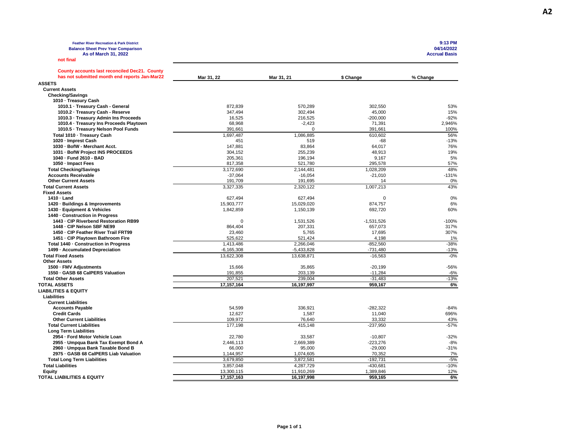**Feather River Recreation & Park District 9:13 PM Balance Sheet Prev Year Comparison 04/14/2022 As of March 31, 2022 Accrual Basis**

**not final**

**A2**

| <b>County accounts last reconciled Dec21. County</b><br>has not submitted month end reports Jan-Mar22 | Mar 31, 22       | Mar 31, 21   | \$ Change    | % Change |
|-------------------------------------------------------------------------------------------------------|------------------|--------------|--------------|----------|
| <b>ASSETS</b>                                                                                         |                  |              |              |          |
| <b>Current Assets</b>                                                                                 |                  |              |              |          |
| <b>Checking/Savings</b>                                                                               |                  |              |              |          |
| 1010 - Treasury Cash                                                                                  |                  |              |              |          |
| 1010.1 · Treasury Cash - General                                                                      | 872,839          | 570,289      | 302,550      | 53%      |
| 1010.2 · Treasury Cash - Reserve                                                                      | 347,494          | 302.494      | 45,000       | 15%      |
| 1010.3 - Treasury Admin Ins Proceeds                                                                  | 16,525           | 216,525      | $-200,000$   | $-92%$   |
| 1010.4 · Treasury Ins Proceeds Playtown                                                               | 68,968           | $-2,423$     | 71,391       | 2,946%   |
| 1010.5 · Treasury Nelson Pool Funds                                                                   | 391,661          | $\Omega$     | 391,661      | 100%     |
| Total 1010 - Treasury Cash                                                                            | 1,697,487        | 1,086,885    | 610,602      | 56%      |
| 1020 - Imprest Cash                                                                                   | 451              | 519          | $-68$        | $-13%$   |
| 1030 - BofW - Merchant Acct.                                                                          | 147.881          | 83.864       | 64.017       | 76%      |
| 1031 - BofW Project INS PROCEEDS                                                                      | 304,152          | 255,239      | 48,913       | 19%      |
| 1040 - Fund 2610 - BAD                                                                                | 205,361          | 196,194      | 9,167        | 5%       |
| 1050 - Impact Fees                                                                                    | 817,358          | 521,780      | 295,578      | 57%      |
| <b>Total Checking/Savings</b>                                                                         | 3,172,690        | 2,144,481    | 1.028.209    | 48%      |
| <b>Accounts Receivable</b>                                                                            | $-37,064$        | $-16,054$    | $-21,010$    | $-131%$  |
| <b>Other Current Assets</b>                                                                           | 191,709          | 191,695      | 14           | 0%       |
| <b>Total Current Assets</b>                                                                           | 3,327,335        | 2,320,122    | 1,007,213    | 43%      |
| <b>Fixed Assets</b>                                                                                   |                  |              |              |          |
| 1410 - Land                                                                                           | 627,494          | 627,494      | 0            | 0%       |
| 1420 - Buildings & Improvements                                                                       | 15,903,777       | 15.029.020   | 874,757      | 6%       |
| 1430 - Equipment & Vehicles                                                                           | 1,842,859        | 1,150,139    | 692,720      | 60%      |
| 1440 - Construction in Progress                                                                       |                  |              |              |          |
| 1443 - CIP Riverbend Restoration RB99                                                                 | 0                | 1,531,526    | $-1,531,526$ | $-100%$  |
| 1448 - CIP Nelson SBF NE99                                                                            | 864,404          | 207,331      | 657,073      | 317%     |
| 1450 - CIP Feather River Trail FRT99                                                                  | 23,460           | 5,765        | 17,695       | 307%     |
| 1451 - CIP Playtown Bathroom Fire                                                                     | 525,622          | 521,424      | 4,198        | 1%       |
| Total 1440 - Construction in Progress                                                                 | 1,413,486        | 2,266,046    | $-852,560$   | $-38%$   |
| 1499 - Accumulated Depreciation                                                                       | $-6,165,308$     | $-5,433,828$ | -731,480     | $-13%$   |
| <b>Total Fixed Assets</b>                                                                             | 13,622,308       | 13,638,871   | $-16,563$    | $-0%$    |
| <b>Other Assets</b>                                                                                   |                  |              |              |          |
| 1500 · FMV Adjustments                                                                                | 15,666           | 35,865       | $-20,199$    | $-56%$   |
| 1550 - GASB 68 CalPERS Valuation                                                                      | 191,855          | 203,139      | $-11,284$    | $-6%$    |
| <b>Total Other Assets</b>                                                                             | 207,521          | 239,004      | $-31,483$    | $-13%$   |
| <b>TOTAL ASSETS</b>                                                                                   | 17,157,164       | 16,197,997   | 959,167      | 6%       |
| <b>LIABILITIES &amp; EQUITY</b>                                                                       |                  |              |              |          |
| Liabilities                                                                                           |                  |              |              |          |
| <b>Current Liabilities</b>                                                                            |                  |              |              |          |
|                                                                                                       |                  | 336,921      | $-282,322$   | $-84%$   |
| <b>Accounts Payable</b><br><b>Credit Cards</b>                                                        | 54,599<br>12,627 | 1,587        | 11,040       | 696%     |
| <b>Other Current Liabilities</b>                                                                      | 109,972          | 76,640       | 33,332       | 43%      |
| <b>Total Current Liabilities</b>                                                                      | 177,198          | 415,148      |              | $-57%$   |
|                                                                                                       |                  |              | $-237,950$   |          |
| <b>Long Term Liabilities</b>                                                                          |                  |              |              | $-32%$   |
| 2954 - Ford Motor Vehicle Loan                                                                        | 22,780           | 33,587       | $-10,807$    |          |
| 2955 - Umpqua Bank Tax Exempt Bond A                                                                  | 2,446,113        | 2,669,389    | $-223,276$   | $-8%$    |
| 2960 · Umpqua Bank Taxable Bond B                                                                     | 66,000           | 95,000       | $-29,000$    | $-31%$   |
| 2975 - GASB 68 CalPERS Liab Valuation                                                                 | 1,144,957        | 1,074,605    | 70,352       | 7%       |
| <b>Total Long Term Liabilities</b>                                                                    | 3,679,850        | 3,872,581    | $-192,731$   | $-5%$    |
| <b>Total Liabilities</b>                                                                              | 3,857,048        | 4,287,729    | $-430,681$   | $-10%$   |
| Equity                                                                                                | 13,300,115       | 11,910,269   | 1,389,846    | 12%      |
| TOTAL LIABILITIES & EQUITY                                                                            | 17, 157, 163     | 16,197,998   | 959,165      | 6%       |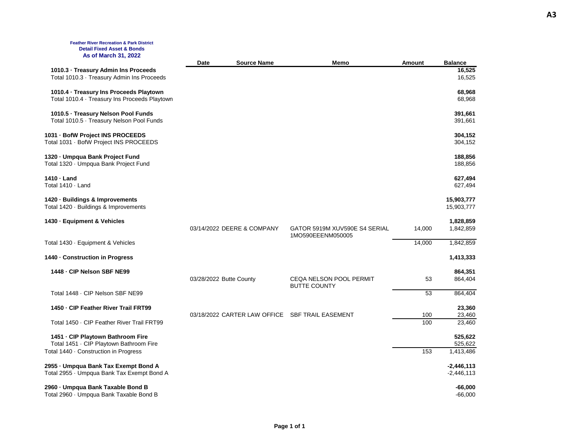#### **Feather River Recreation & Park District Detail Fixed Asset & Bonds As of March 31, 2022**

|                                                                                          | Date                    | <b>Source Name</b>           | Memo                          | Amount     | <b>Balance</b>               |
|------------------------------------------------------------------------------------------|-------------------------|------------------------------|-------------------------------|------------|------------------------------|
| 1010.3 - Treasury Admin Ins Proceeds<br>Total 1010.3 · Treasury Admin Ins Proceeds       |                         |                              |                               |            | 16,525<br>16,525             |
| 1010.4 · Treasury Ins Proceeds Playtown<br>Total 1010.4 · Treasury Ins Proceeds Playtown |                         |                              |                               |            | 68,968<br>68,968             |
| 1010.5 · Treasury Nelson Pool Funds<br>Total 1010.5 · Treasury Nelson Pool Funds         |                         |                              |                               |            | 391,661<br>391,661           |
| 1031 - BofW Project INS PROCEEDS<br>Total 1031 · BofW Project INS PROCEEDS               |                         |                              |                               |            | 304,152<br>304,152           |
| 1320 - Umpqua Bank Project Fund<br>Total 1320 · Umpqua Bank Project Fund                 |                         |                              |                               |            | 188,856<br>188,856           |
| 1410 - Land<br>Total 1410 · Land                                                         |                         |                              |                               |            | 627,494<br>627,494           |
| 1420 - Buildings & Improvements<br>Total 1420 · Buildings & Improvements                 |                         |                              |                               |            | 15,903,777<br>15,903,777     |
| 1430 - Equipment & Vehicles                                                              |                         | 03/14/2022 DEERE & COMPANY   | GATOR 5919M XUV590E S4 SERIAL | 14,000     | 1,828,859<br>1,842,859       |
| Total 1430 · Equipment & Vehicles                                                        |                         |                              | 1MO590EEENM050005             | 14,000     | 1,842,859                    |
| 1440 - Construction in Progress                                                          |                         |                              |                               |            | 1,413,333                    |
| 1448 - CIP Nelson SBF NE99                                                               | 03/28/2022 Butte County |                              | CEQA NELSON POOL PERMIT       | 53         | 864,351<br>864,404           |
| Total 1448 - CIP Nelson SBF NE99                                                         |                         |                              | <b>BUTTE COUNTY</b>           | 53         | 864,404                      |
| 1450 - CIP Feather River Trail FRT99                                                     |                         |                              |                               |            | 23,360                       |
| Total 1450 · CIP Feather River Trail FRT99                                               |                         | 03/18/2022 CARTER LAW OFFICE | <b>SBF TRAIL EASEMENT</b>     | 100<br>100 | 23,460<br>23,460             |
| 1451 - CIP Playtown Bathroom Fire<br>Total 1451 · CIP Playtown Bathroom Fire             |                         |                              |                               |            | 525,622<br>525,622           |
| Total 1440 · Construction in Progress                                                    |                         |                              |                               | 153        | 1,413,486                    |
| 2955 - Umpqua Bank Tax Exempt Bond A<br>Total 2955 · Umpqua Bank Tax Exempt Bond A       |                         |                              |                               |            | $-2,446,113$<br>$-2,446,113$ |
| 2960 - Umpqua Bank Taxable Bond B<br>Total 2960 · Umpqua Bank Taxable Bond B             |                         |                              |                               |            | $-66,000$<br>$-66.000$       |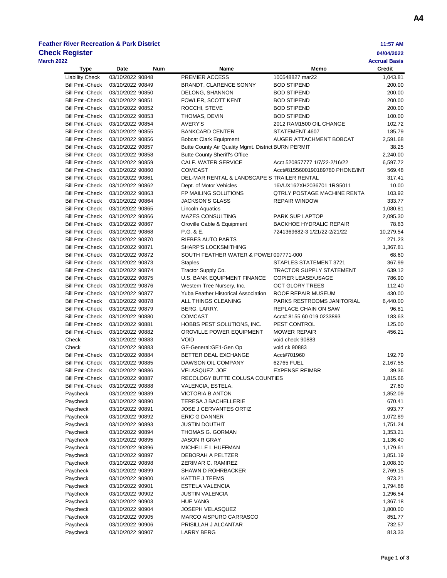# **Feather River Recreation & Park District 11:57 AM**

| <b>Check Register</b>                              |                                      |                                                       |                                                                 | 04/04/2022                            |
|----------------------------------------------------|--------------------------------------|-------------------------------------------------------|-----------------------------------------------------------------|---------------------------------------|
| <b>March 2022</b><br><b>Type</b>                   | Date<br><b>Num</b>                   | Name                                                  | Memo                                                            | <b>Accrual Basis</b><br><b>Credit</b> |
| <b>Liability Check</b>                             | 03/10/2022 90848                     | PREMIER ACCESS                                        | 100548827 mar22                                                 | 1,043.81                              |
| <b>Bill Pmt - Check</b>                            | 03/10/2022 90849                     | <b>BRANDT, CLARENCE SONNY</b>                         | <b>BOD STIPEND</b>                                              | 200.00                                |
| <b>Bill Pmt - Check</b>                            | 03/10/2022 90850                     | DELONG, SHANNON                                       | <b>BOD STIPEND</b>                                              | 200.00                                |
| <b>Bill Pmt - Check</b>                            | 03/10/2022 90851                     | FOWLER, SCOTT KENT                                    | <b>BOD STIPEND</b>                                              | 200.00                                |
| <b>Bill Pmt - Check</b>                            | 03/10/2022 90852                     | ROCCHI, STEVE                                         | <b>BOD STIPEND</b>                                              | 200.00                                |
| <b>Bill Pmt - Check</b>                            | 03/10/2022 90853                     | THOMAS, DEVIN                                         | <b>BOD STIPEND</b>                                              | 100.00                                |
| <b>Bill Pmt - Check</b>                            | 03/10/2022 90854                     | <b>AVERY'S</b>                                        | 2012 RAM1500 OIL CHANGE                                         | 102.72                                |
| <b>Bill Pmt - Check</b>                            | 03/10/2022 90855                     | <b>BANKCARD CENTER</b>                                | STATEMENT 4607                                                  | 185.79                                |
| <b>Bill Pmt - Check</b>                            | 03/10/2022 90856                     | <b>Bobcat Clark Equipment</b>                         | AUGER ATTACHMENT BOBCAT                                         | 2,591.68                              |
| <b>Bill Pmt - Check</b>                            | 03/10/2022 90857                     | Butte County Air Quality Mgmt. District BURN PERMIT   |                                                                 | 38.25                                 |
| <b>Bill Pmt - Check</b>                            | 03/10/2022 90858                     | <b>Butte County Sheriff's Office</b>                  |                                                                 | 2,240.00                              |
| <b>Bill Pmt - Check</b>                            | 03/10/2022 90859                     | CALF. WATER SERVICE                                   | Acct 520857777 1/7/22-2/16/22                                   | 6,597.72                              |
| <b>Bill Pmt - Check</b>                            | 03/10/2022 90860                     | <b>COMCAST</b>                                        | Acct#8155600190189780 PHONE/INT                                 | 569.48                                |
| <b>Bill Pmt - Check</b>                            | 03/10/2022 90861                     | DEL-MAR RENTAL & LANDSCAPE S TRAILER RENTAL           |                                                                 | 317.41                                |
| <b>Bill Pmt - Check</b>                            | 03/10/2022 90862                     | Dept. of Motor Vehicles                               | 16VUX162XH2036701 1RS5011<br><b>QTRLY POSTAGE MACHINE RENTA</b> | 10.00                                 |
| <b>Bill Pmt - Check</b>                            | 03/10/2022 90863<br>03/10/2022 90864 | FP MAILING SOLUTIONS<br><b>JACKSON'S GLASS</b>        |                                                                 | 103.92                                |
| <b>Bill Pmt - Check</b><br><b>Bill Pmt - Check</b> |                                      | <b>Lincoln Aquatics</b>                               | <b>REPAIR WINDOW</b>                                            | 333.77                                |
| <b>Bill Pmt - Check</b>                            | 03/10/2022 90865<br>03/10/2022 90866 | MAZES CONSULTING                                      | PARK SUP LAPTOP                                                 | 1,080.81<br>2,095.30                  |
| <b>Bill Pmt - Check</b>                            | 03/10/2022 90867                     | Oroville Cable & Equipment                            | <b>BACKHOE HYDRALIC REPAIR</b>                                  | 78.83                                 |
| <b>Bill Pmt - Check</b>                            | 03/10/2022 90868                     | P.G. & E.                                             | 7241369682-3 1/21/22-2/21/22                                    | 10,279.54                             |
| <b>Bill Pmt - Check</b>                            | 03/10/2022 90870                     | RIEBES AUTO PARTS                                     |                                                                 | 271.23                                |
| <b>Bill Pmt - Check</b>                            | 03/10/2022 90871                     | <b>SHARP'S LOCKSMITHING</b>                           |                                                                 | 1,367.81                              |
| <b>Bill Pmt - Check</b>                            | 03/10/2022 90872                     | SOUTH FEATHER WATER & POWEI 007771-000                |                                                                 | 68.60                                 |
| <b>Bill Pmt - Check</b>                            | 03/10/2022 90873                     | <b>Staples</b>                                        | STAPLES STATEMENT 3721                                          | 367.99                                |
| <b>Bill Pmt - Check</b>                            | 03/10/2022 90874                     | Tractor Supply Co.                                    | <b>TRACTOR SUPPLY STATEMENT</b>                                 | 639.12                                |
| <b>Bill Pmt - Check</b>                            | 03/10/2022 90875                     | U.S. BANK EQUIPMENT FINANCE                           | <b>COPIER LEASE/USAGE</b>                                       | 786.90                                |
| <b>Bill Pmt - Check</b>                            | 03/10/2022 90876                     | Western Tree Nursery, Inc.                            | <b>OCT GLORY TREES</b>                                          | 112.40                                |
| <b>Bill Pmt - Check</b>                            | 03/10/2022 90877                     | Yuba Feather Historical Association                   | ROOF REPAIR MUSEUM                                              | 430.00                                |
| <b>Bill Pmt - Check</b>                            | 03/10/2022 90878                     | ALL THINGS CLEANING                                   | PARKS RESTROOMS JANITORIAL                                      | 6,440.00                              |
| <b>Bill Pmt - Check</b>                            | 03/10/2022 90879                     | BERG, LARRY.                                          | REPLACE CHAIN ON SAW                                            | 96.81                                 |
| <b>Bill Pmt - Check</b>                            | 03/10/2022 90880                     | <b>COMCAST</b>                                        | Acct# 8155 60 019 0233893                                       | 183.63                                |
| <b>Bill Pmt - Check</b>                            | 03/10/2022 90881                     | HOBBS PEST SOLUTIONS, INC.                            | PEST CONTROL                                                    | 125.00                                |
| <b>Bill Pmt - Check</b>                            | 03/10/2022 90882                     | OROVILLE POWER EQUIPMENT                              | <b>MOWER REPAIR</b>                                             | 456.21                                |
| Check                                              | 03/10/2022 90883                     | <b>VOID</b>                                           | void check 90883                                                |                                       |
| Check                                              | 03/10/2022 90883                     | GE-General:GE1-Gen Op                                 | void ck 90883                                                   |                                       |
| <b>Bill Pmt - Check</b>                            | 03/10/2022 90884                     | BETTER DEAL EXCHANGE                                  | Acct#701960                                                     | 192.79                                |
| <b>Bill Pmt - Check</b><br><b>Bill Pmt - Check</b> | 03/10/2022 90885<br>03/10/2022 90886 | DAWSON OIL COMPANY<br><b>VELASQUEZ, JOE</b>           | 62765 FUEL<br><b>EXPENSE REIMBR</b>                             | 2,167.55<br>39.36                     |
| <b>Bill Pmt - Check</b>                            | 03/10/2022 90887                     | RECOLOGY BUTTE COLUSA COUNTIES                        |                                                                 | 1,815.66                              |
| <b>Bill Pmt - Check</b>                            | 03/10/2022 90888                     | VALENCIA, ESTELA.                                     |                                                                 | 27.60                                 |
| Paycheck                                           | 03/10/2022 90889                     | <b>VICTORIA B ANTON</b>                               |                                                                 | 1,852.09                              |
| Paycheck                                           | 03/10/2022 90890                     | <b>TERESA J BACHELLERIE</b>                           |                                                                 | 670.41                                |
| Paycheck                                           | 03/10/2022 90891                     | JOSE J CERVANTES ORTIZ                                |                                                                 | 993.77                                |
| Paycheck                                           | 03/10/2022 90892                     | <b>ERIC G DANNER</b>                                  |                                                                 | 1,072.89                              |
| Paycheck                                           | 03/10/2022 90893                     | <b>JUSTIN DOUTHIT</b>                                 |                                                                 | 1,751.24                              |
| Paycheck                                           | 03/10/2022 90894                     | THOMAS G. GORMAN                                      |                                                                 | 1,353.21                              |
| Paycheck                                           | 03/10/2022 90895                     | JASON R GRAY                                          |                                                                 | 1,136.40                              |
| Paycheck                                           | 03/10/2022 90896                     | MICHELLE L HUFFMAN                                    |                                                                 | 1,179.61                              |
| Paycheck                                           | 03/10/2022 90897                     | DEBORAH A PELTZER                                     |                                                                 | 1,851.19                              |
| Paycheck                                           | 03/10/2022 90898                     | ZERIMAR C. RAMIREZ                                    |                                                                 | 1,008.30                              |
| Paycheck                                           | 03/10/2022 90899                     | <b>SHAWN D ROHRBACKER</b>                             |                                                                 | 2,769.15                              |
| Paycheck                                           | 03/10/2022 90900                     | KATTIE J TEEMS                                        |                                                                 | 973.21                                |
| Paycheck                                           | 03/10/2022 90901                     | ESTELA VALENCIA                                       |                                                                 | 1,794.88                              |
| Paycheck                                           | 03/10/2022 90902                     | <b>JUSTIN VALENCIA</b>                                |                                                                 | 1,296.54                              |
| Paycheck                                           | 03/10/2022 90903                     | <b>HUE VANG</b>                                       |                                                                 | 1,367.18                              |
| Paycheck                                           | 03/10/2022 90904                     | <b>JOSEPH VELASQUEZ</b>                               |                                                                 | 1,800.00                              |
| Paycheck                                           | 03/10/2022 90905<br>03/10/2022 90906 | <b>MARCO AISPURO CARRASCO</b><br>PRISILLAH J ALCANTAR |                                                                 | 851.77<br>732.57                      |
| Paycheck<br>Paycheck                               | 03/10/2022 90907                     | LARRY BERG                                            |                                                                 | 813.33                                |
|                                                    |                                      |                                                       |                                                                 |                                       |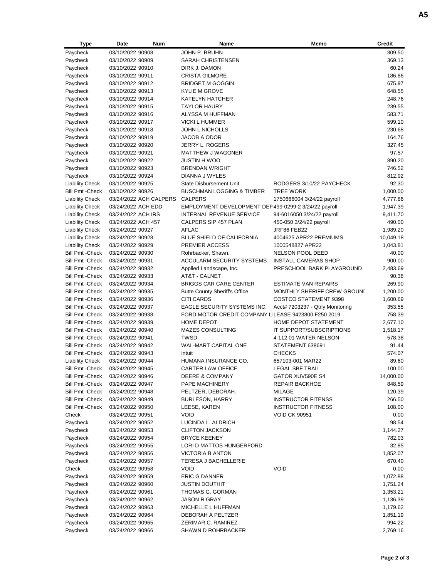| Type                    | Date               | Num                    | Name                                                  | Memo                             | <b>Credit</b> |
|-------------------------|--------------------|------------------------|-------------------------------------------------------|----------------------------------|---------------|
| Paycheck                | 03/10/2022 90908   |                        | JOHN P. BRUHN                                         |                                  | 309.50        |
| Paycheck                | 03/10/2022 90909   |                        | <b>SARAH CHRISTENSEN</b>                              |                                  | 369.13        |
| Paycheck                | 03/10/2022 90910   |                        | DIRK J. DAMON                                         |                                  | 60.24         |
| Paycheck                | 03/10/2022 90911   |                        | <b>CRISTA GILMORE</b>                                 |                                  | 186.86        |
| Paycheck                | 03/10/2022 90912   |                        | <b>BRIDGET M GOGGIN</b>                               |                                  | 675.97        |
| Paycheck                | 03/10/2022 90913   |                        | <b>KYLIE M GROVE</b>                                  |                                  | 648.55        |
| Paycheck                | 03/10/2022 90914   |                        | <b>KATELYN HATCHER</b>                                |                                  | 248.76        |
| Paycheck                | 03/10/2022 90915   |                        | <b>TAYLOR HAURY</b>                                   |                                  | 239.55        |
| Paycheck                | 03/10/2022 90916   |                        | ALYSSA M HUFFMAN                                      |                                  | 583.71        |
| Paycheck                | 03/10/2022 90917   |                        | <b>VICKI L HUMMER</b>                                 |                                  | 599.10        |
| Paycheck                | 03/10/2022 90918   |                        | <b>JOHN L NICHOLLS</b>                                |                                  | 230.68        |
| Paycheck                | 03/10/2022 90919   |                        | <b>JACOB A ODOR</b>                                   |                                  | 164.76        |
| Paycheck                | 03/10/2022 90920   |                        | JERRY L. ROGERS                                       |                                  | 327.45        |
| Paycheck                | 03/10/2022 90921   |                        | <b>MATTHEW J WAGONER</b>                              |                                  | 97.57         |
| Paycheck                | 03/10/2022 90922   |                        | <b>JUSTIN H WOO</b>                                   |                                  | 890.20        |
|                         | 03/10/2022 90923   |                        |                                                       |                                  | 746.52        |
| Paycheck                |                    |                        | <b>BRENDAN WRIGHT</b>                                 |                                  |               |
| Paycheck                | 03/10/2022 90924   |                        | DIANNA J WYLES                                        |                                  | 812.92        |
| <b>Liability Check</b>  | 03/10/2022 90925   |                        | <b>State Disbursement Unit</b>                        | RODGERS 3/10/22 PAYCHECK         | 92.30         |
| <b>Bill Pmt - Check</b> | 03/10/2022 90926   |                        | <b>BUSCHMAN LOGGING &amp; TIMBER</b>                  | <b>TREE WORK</b>                 | 1,000.00      |
| <b>Liability Check</b>  |                    | 03/24/2022 ACH CALPERS | <b>CALPERS</b>                                        | 1750666004 3/24/22 payroll       | 4,777.86      |
| <b>Liability Check</b>  | 03/24/2022 ACH EDD |                        | EMPLOYMENT DEVELOPMENT DEF 499-0299-2 3/24/22 payroll |                                  | 1,947.39      |
| <b>Liability Check</b>  | 03/24/2022 ACH IRS |                        | <b>INTERNAL REVENUE SERVICE</b>                       | 94-6016050 3/24/22 payroll       | 9,411.70      |
| <b>Liability Check</b>  | 03/24/2022 ACH 457 |                        | CALPERS SIP 457 PLAN                                  | 450-050 3/24/22 payroll          | 490.00        |
| <b>Liability Check</b>  | 03/24/2022 90927   |                        | <b>AFLAC</b>                                          | JRF86 FEB22                      | 1,989.20      |
| <b>Liability Check</b>  | 03/24/2022 90928   |                        | <b>BLUE SHIELD OF CALIFORNIA</b>                      | 4004625 APR22 PREMIUMS           | 10,049.18     |
| <b>Liability Check</b>  | 03/24/2022 90929   |                        | <b>PREMIER ACCESS</b>                                 | 1000548827 APR22                 | 1,043.81      |
| <b>Bill Pmt - Check</b> | 03/24/2022 90930   |                        | Rohrbacker, Shawn.                                    | NELSON POOL DEED                 | 40.00         |
| <b>Bill Pmt - Check</b> | 03/24/2022 90931   |                        | ACCULARM SECURITY SYSTEMS                             | <b>INSTALL CAMERAS SHOP</b>      | 900.00        |
| <b>Bill Pmt - Check</b> | 03/24/2022 90932   |                        | Applied Landscape, Inc.                               | PRESCHOOL BARK PLAYGROUND        | 2,483.69      |
| <b>Bill Pmt - Check</b> | 03/24/2022 90933   |                        | AT&T - CALNET                                         |                                  | 90.38         |
| <b>Bill Pmt - Check</b> | 03/24/2022 90934   |                        | <b>BRIGGS CAR CARE CENTER</b>                         | <b>ESTIMATE VAN REPAIRS</b>      | 269.90        |
| <b>Bill Pmt - Check</b> | 03/24/2022 90935   |                        | <b>Butte County Sheriff's Office</b>                  | MONTHLY SHERIFF CREW GROUNI      | 1,200.00      |
| <b>Bill Pmt - Check</b> | 03/24/2022 90936   |                        | <b>CITI CARDS</b>                                     | <b>COSTCO STATEMENT 9398</b>     | 1,600.69      |
| <b>Bill Pmt - Check</b> | 03/24/2022 90937   |                        | EAGLE SECURITY SYSTEMS INC.                           | Acct# 7203237 - Qtrly Monitoring | 353.55        |
| <b>Bill Pmt - Check</b> | 03/24/2022 90938   |                        | FORD MOTOR CREDIT COMPANY LILEASE 9423800 F250 2019   |                                  | 758.39        |
| <b>Bill Pmt - Check</b> | 03/24/2022 90939   |                        | <b>HOME DEPOT</b>                                     | HOME DEPOT STATEMENT             | 2,677.10      |
| <b>Bill Pmt - Check</b> | 03/24/2022 90940   |                        | <b>MAZES CONSULTING</b>                               | IT SUPPORT/SUBSCRIPTIONS         | 1,518.17      |
| <b>Bill Pmt - Check</b> | 03/24/2022 90941   |                        | <b>TWSD</b>                                           | 4-112.01 WATER NELSON            | 578.38        |
| <b>Bill Pmt - Check</b> | 03/24/2022 90942   |                        | <b>WAL-MART CAPITAL ONE</b>                           | STATEMENT 638691                 | 91.44         |
| <b>Bill Pmt - Check</b> | 03/24/2022 90943   |                        | Intuit                                                | <b>CHECKS</b>                    | 574.07        |
| <b>Liability Check</b>  | 03/24/2022 90944   |                        | HUMANA INSURANCE CO.                                  | 657103-001 MAR22                 | 89.60         |
| <b>Bill Pmt - Check</b> | 03/24/2022 90945   |                        | CARTER LAW OFFICE                                     | LEGAL SBF TRAIL                  | 100.00        |
| <b>Bill Pmt - Check</b> | 03/24/2022 90946   |                        | DEERE & COMPANY                                       | GATOR XUV590E S4                 | 14,000.00     |
| <b>Bill Pmt - Check</b> | 03/24/2022 90947   |                        | PAPE MACHINERY                                        | <b>REPAIR BACKHOE</b>            | 848.59        |
| <b>Bill Pmt - Check</b> | 03/24/2022 90948   |                        | PELTZER, DEBORAH.                                     | <b>MILAGE</b>                    | 120.39        |
| <b>Bill Pmt - Check</b> | 03/24/2022 90949   |                        | <b>BURLESON, HARRY</b>                                | <b>INSTRUCTOR FITENSS</b>        | 266.50        |
| <b>Bill Pmt - Check</b> | 03/24/2022 90950   |                        | LEESE, KAREN                                          | <b>INSTRUCTOR FITNESS</b>        | 108.00        |
| Check                   | 03/24/2022 90951   |                        | <b>VOID</b>                                           | <b>VOID CK 90951</b>             | 0.00          |
| Paycheck                | 03/24/2022 90952   |                        | LUCINDA L. ALDRICH                                    |                                  | 98.54         |
| Paycheck                | 03/24/2022 90953   |                        | <b>CLIFTON JACKSON</b>                                |                                  | 1,144.27      |
| Paycheck                | 03/24/2022 90954   |                        | <b>BRYCE KEENEY</b>                                   |                                  | 782.03        |
| Paycheck                | 03/24/2022 90955   |                        | LORI D MATTOS HUNGERFORD                              |                                  | 32.85         |
|                         | 03/24/2022 90956   |                        | <b>VICTORIA B ANTON</b>                               |                                  | 1,852.07      |
| Paycheck<br>Paycheck    | 03/24/2022 90957   |                        | <b>TERESA J BACHELLERIE</b>                           |                                  | 670.40        |
|                         |                    |                        | <b>VOID</b>                                           | <b>VOID</b>                      |               |
| Check                   | 03/24/2022 90958   |                        |                                                       |                                  | 0.00          |
| Paycheck                | 03/24/2022 90959   |                        | ERIC G DANNER                                         |                                  | 1,072.88      |
| Paycheck                | 03/24/2022 90960   |                        | <b>JUSTIN DOUTHIT</b>                                 |                                  | 1,751.24      |
| Paycheck                | 03/24/2022 90961   |                        | THOMAS G. GORMAN                                      |                                  | 1,353.21      |
| Paycheck                | 03/24/2022 90962   |                        | JASON R GRAY                                          |                                  | 1,136.39      |
| Paycheck                | 03/24/2022 90963   |                        | MICHELLE L HUFFMAN                                    |                                  | 1,179.62      |
| Paycheck                | 03/24/2022 90964   |                        | DEBORAH A PELTZER                                     |                                  | 1,851.19      |
| Paycheck                | 03/24/2022 90965   |                        | ZERIMAR C. RAMIREZ                                    |                                  | 994.22        |
| Paycheck                | 03/24/2022 90966   |                        | <b>SHAWN D ROHRBACKER</b>                             |                                  | 2,769.16      |